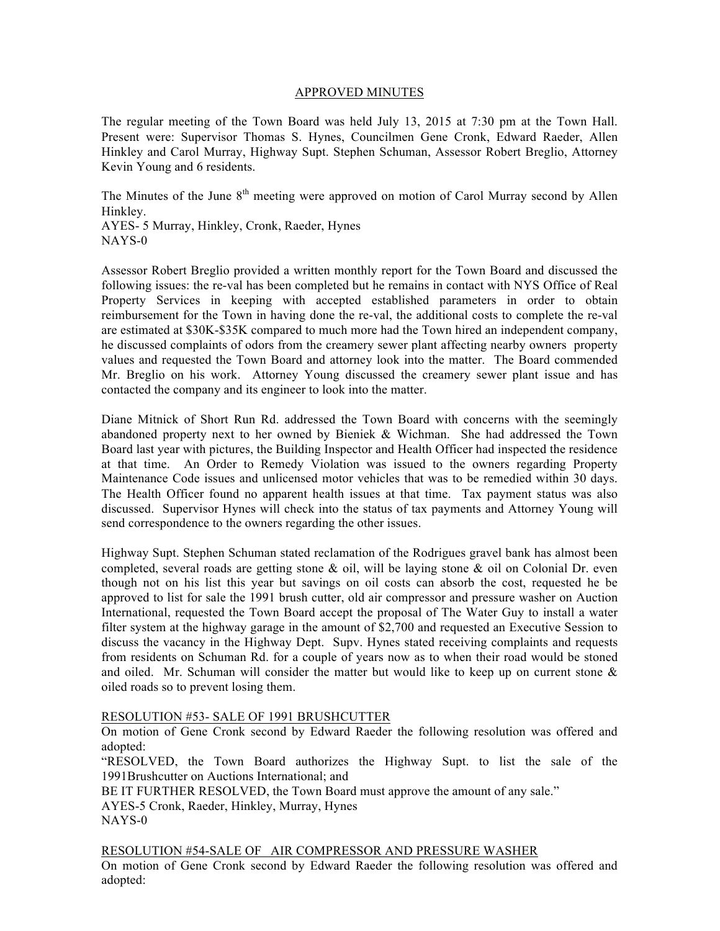#### APPROVED MINUTES

The regular meeting of the Town Board was held July 13, 2015 at 7:30 pm at the Town Hall. Present were: Supervisor Thomas S. Hynes, Councilmen Gene Cronk, Edward Raeder, Allen Hinkley and Carol Murray, Highway Supt. Stephen Schuman, Assessor Robert Breglio, Attorney Kevin Young and 6 residents.

The Minutes of the June  $8<sup>th</sup>$  meeting were approved on motion of Carol Murray second by Allen Hinkley.

AYES- 5 Murray, Hinkley, Cronk, Raeder, Hynes NAYS-0

Assessor Robert Breglio provided a written monthly report for the Town Board and discussed the following issues: the re-val has been completed but he remains in contact with NYS Office of Real Property Services in keeping with accepted established parameters in order to obtain reimbursement for the Town in having done the re-val, the additional costs to complete the re-val are estimated at \$30K-\$35K compared to much more had the Town hired an independent company, he discussed complaints of odors from the creamery sewer plant affecting nearby owners property values and requested the Town Board and attorney look into the matter. The Board commended Mr. Breglio on his work. Attorney Young discussed the creamery sewer plant issue and has contacted the company and its engineer to look into the matter.

Diane Mitnick of Short Run Rd. addressed the Town Board with concerns with the seemingly abandoned property next to her owned by Bieniek & Wichman. She had addressed the Town Board last year with pictures, the Building Inspector and Health Officer had inspected the residence at that time. An Order to Remedy Violation was issued to the owners regarding Property Maintenance Code issues and unlicensed motor vehicles that was to be remedied within 30 days. The Health Officer found no apparent health issues at that time. Tax payment status was also discussed. Supervisor Hynes will check into the status of tax payments and Attorney Young will send correspondence to the owners regarding the other issues.

Highway Supt. Stephen Schuman stated reclamation of the Rodrigues gravel bank has almost been completed, several roads are getting stone  $\&$  oil, will be laying stone  $\&$  oil on Colonial Dr. even though not on his list this year but savings on oil costs can absorb the cost, requested he be approved to list for sale the 1991 brush cutter, old air compressor and pressure washer on Auction International, requested the Town Board accept the proposal of The Water Guy to install a water filter system at the highway garage in the amount of \$2,700 and requested an Executive Session to discuss the vacancy in the Highway Dept. Supv. Hynes stated receiving complaints and requests from residents on Schuman Rd. for a couple of years now as to when their road would be stoned and oiled. Mr. Schuman will consider the matter but would like to keep up on current stone  $\&$ oiled roads so to prevent losing them.

#### RESOLUTION #53- SALE OF 1991 BRUSHCUTTER

On motion of Gene Cronk second by Edward Raeder the following resolution was offered and adopted:

"RESOLVED, the Town Board authorizes the Highway Supt. to list the sale of the 1991Brushcutter on Auctions International; and

BE IT FURTHER RESOLVED, the Town Board must approve the amount of any sale." AYES-5 Cronk, Raeder, Hinkley, Murray, Hynes NAYS-0

RESOLUTION #54-SALE OF AIR COMPRESSOR AND PRESSURE WASHER

On motion of Gene Cronk second by Edward Raeder the following resolution was offered and adopted: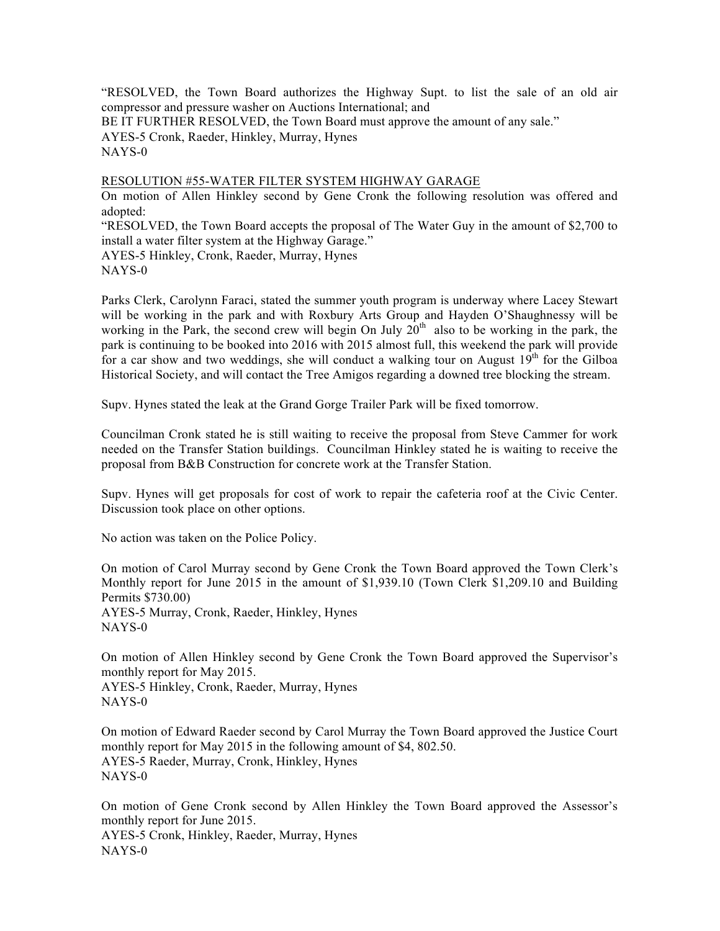"RESOLVED, the Town Board authorizes the Highway Supt. to list the sale of an old air compressor and pressure washer on Auctions International; and BE IT FURTHER RESOLVED, the Town Board must approve the amount of any sale." AYES-5 Cronk, Raeder, Hinkley, Murray, Hynes NAYS-0

## RESOLUTION #55-WATER FILTER SYSTEM HIGHWAY GARAGE

On motion of Allen Hinkley second by Gene Cronk the following resolution was offered and adopted:

"RESOLVED, the Town Board accepts the proposal of The Water Guy in the amount of \$2,700 to install a water filter system at the Highway Garage."

AYES-5 Hinkley, Cronk, Raeder, Murray, Hynes NAYS-0

Parks Clerk, Carolynn Faraci, stated the summer youth program is underway where Lacey Stewart will be working in the park and with Roxbury Arts Group and Hayden O'Shaughnessy will be working in the Park, the second crew will begin On July 20<sup>th</sup> also to be working in the park, the park is continuing to be booked into 2016 with 2015 almost full, this weekend the park will provide for a car show and two weddings, she will conduct a walking tour on August  $19<sup>th</sup>$  for the Gilboa Historical Society, and will contact the Tree Amigos regarding a downed tree blocking the stream.

Supv. Hynes stated the leak at the Grand Gorge Trailer Park will be fixed tomorrow.

Councilman Cronk stated he is still waiting to receive the proposal from Steve Cammer for work needed on the Transfer Station buildings. Councilman Hinkley stated he is waiting to receive the proposal from B&B Construction for concrete work at the Transfer Station.

Supv. Hynes will get proposals for cost of work to repair the cafeteria roof at the Civic Center. Discussion took place on other options.

No action was taken on the Police Policy.

On motion of Carol Murray second by Gene Cronk the Town Board approved the Town Clerk's Monthly report for June 2015 in the amount of \$1,939.10 (Town Clerk \$1,209.10 and Building Permits \$730.00)

AYES-5 Murray, Cronk, Raeder, Hinkley, Hynes NAYS-0

On motion of Allen Hinkley second by Gene Cronk the Town Board approved the Supervisor's monthly report for May 2015.

AYES-5 Hinkley, Cronk, Raeder, Murray, Hynes NAYS-0

On motion of Edward Raeder second by Carol Murray the Town Board approved the Justice Court monthly report for May 2015 in the following amount of \$4, 802.50. AYES-5 Raeder, Murray, Cronk, Hinkley, Hynes NAYS-0

On motion of Gene Cronk second by Allen Hinkley the Town Board approved the Assessor's monthly report for June 2015. AYES-5 Cronk, Hinkley, Raeder, Murray, Hynes NAYS-0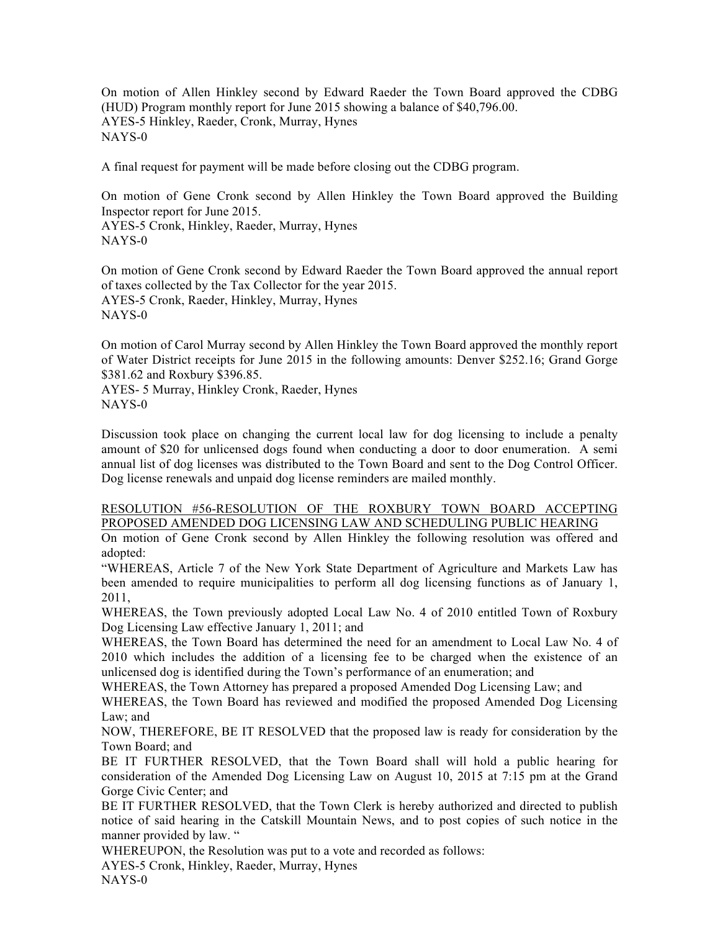On motion of Allen Hinkley second by Edward Raeder the Town Board approved the CDBG (HUD) Program monthly report for June 2015 showing a balance of \$40,796.00. AYES-5 Hinkley, Raeder, Cronk, Murray, Hynes NAYS-0

A final request for payment will be made before closing out the CDBG program.

On motion of Gene Cronk second by Allen Hinkley the Town Board approved the Building Inspector report for June 2015. AYES-5 Cronk, Hinkley, Raeder, Murray, Hynes NAYS-0

On motion of Gene Cronk second by Edward Raeder the Town Board approved the annual report of taxes collected by the Tax Collector for the year 2015. AYES-5 Cronk, Raeder, Hinkley, Murray, Hynes NAYS-0

On motion of Carol Murray second by Allen Hinkley the Town Board approved the monthly report of Water District receipts for June 2015 in the following amounts: Denver \$252.16; Grand Gorge \$381.62 and Roxbury \$396.85.

AYES- 5 Murray, Hinkley Cronk, Raeder, Hynes NAYS-0

Discussion took place on changing the current local law for dog licensing to include a penalty amount of \$20 for unlicensed dogs found when conducting a door to door enumeration. A semi annual list of dog licenses was distributed to the Town Board and sent to the Dog Control Officer. Dog license renewals and unpaid dog license reminders are mailed monthly.

# RESOLUTION #56-RESOLUTION OF THE ROXBURY TOWN BOARD ACCEPTING PROPOSED AMENDED DOG LICENSING LAW AND SCHEDULING PUBLIC HEARING

On motion of Gene Cronk second by Allen Hinkley the following resolution was offered and adopted:

"WHEREAS, Article 7 of the New York State Department of Agriculture and Markets Law has been amended to require municipalities to perform all dog licensing functions as of January 1, 2011,

WHEREAS, the Town previously adopted Local Law No. 4 of 2010 entitled Town of Roxbury Dog Licensing Law effective January 1, 2011; and

WHEREAS, the Town Board has determined the need for an amendment to Local Law No. 4 of 2010 which includes the addition of a licensing fee to be charged when the existence of an unlicensed dog is identified during the Town's performance of an enumeration; and

WHEREAS, the Town Attorney has prepared a proposed Amended Dog Licensing Law; and

WHEREAS, the Town Board has reviewed and modified the proposed Amended Dog Licensing Law; and

NOW, THEREFORE, BE IT RESOLVED that the proposed law is ready for consideration by the Town Board; and

BE IT FURTHER RESOLVED, that the Town Board shall will hold a public hearing for consideration of the Amended Dog Licensing Law on August 10, 2015 at 7:15 pm at the Grand Gorge Civic Center; and

BE IT FURTHER RESOLVED, that the Town Clerk is hereby authorized and directed to publish notice of said hearing in the Catskill Mountain News, and to post copies of such notice in the manner provided by law. "

WHEREUPON, the Resolution was put to a vote and recorded as follows:

AYES-5 Cronk, Hinkley, Raeder, Murray, Hynes

NAYS-0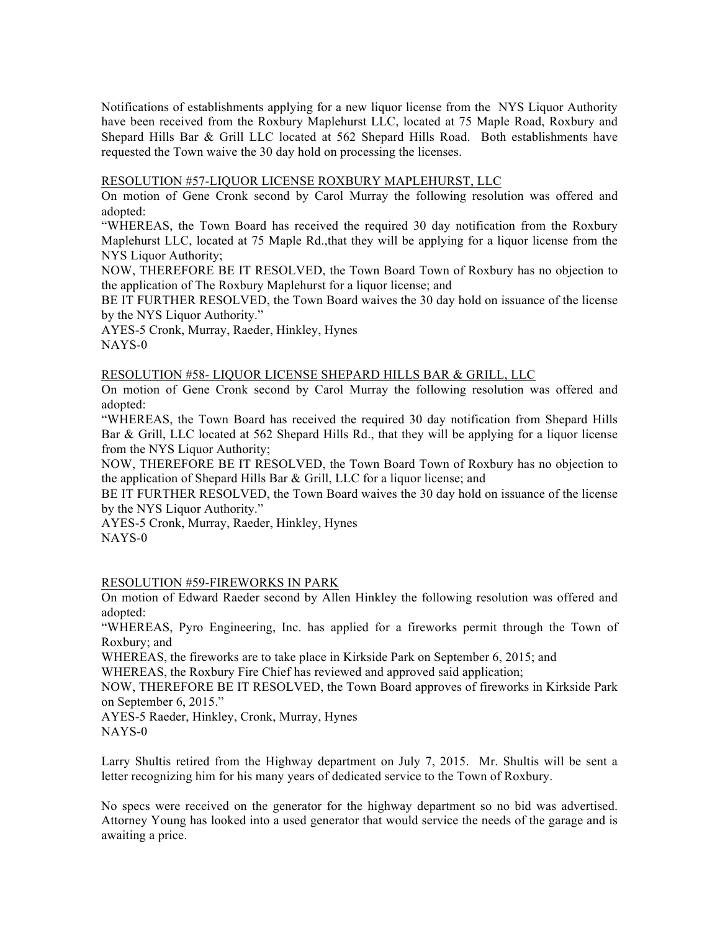Notifications of establishments applying for a new liquor license from the NYS Liquor Authority have been received from the Roxbury Maplehurst LLC, located at 75 Maple Road, Roxbury and Shepard Hills Bar & Grill LLC located at 562 Shepard Hills Road. Both establishments have requested the Town waive the 30 day hold on processing the licenses.

#### RESOLUTION #57-LIQUOR LICENSE ROXBURY MAPLEHURST, LLC

On motion of Gene Cronk second by Carol Murray the following resolution was offered and adopted:

"WHEREAS, the Town Board has received the required 30 day notification from the Roxbury Maplehurst LLC, located at 75 Maple Rd.,that they will be applying for a liquor license from the NYS Liquor Authority:

NOW, THEREFORE BE IT RESOLVED, the Town Board Town of Roxbury has no objection to the application of The Roxbury Maplehurst for a liquor license; and

BE IT FURTHER RESOLVED, the Town Board waives the 30 day hold on issuance of the license by the NYS Liquor Authority."

AYES-5 Cronk, Murray, Raeder, Hinkley, Hynes NAYS-0

# RESOLUTION #58- LIQUOR LICENSE SHEPARD HILLS BAR & GRILL, LLC

On motion of Gene Cronk second by Carol Murray the following resolution was offered and adopted:

"WHEREAS, the Town Board has received the required 30 day notification from Shepard Hills Bar & Grill, LLC located at 562 Shepard Hills Rd., that they will be applying for a liquor license from the NYS Liquor Authority;

NOW, THEREFORE BE IT RESOLVED, the Town Board Town of Roxbury has no objection to the application of Shepard Hills Bar & Grill, LLC for a liquor license; and

BE IT FURTHER RESOLVED, the Town Board waives the 30 day hold on issuance of the license by the NYS Liquor Authority."

AYES-5 Cronk, Murray, Raeder, Hinkley, Hynes NAYS-0

RESOLUTION #59-FIREWORKS IN PARK

On motion of Edward Raeder second by Allen Hinkley the following resolution was offered and adopted:

"WHEREAS, Pyro Engineering, Inc. has applied for a fireworks permit through the Town of Roxbury; and

WHEREAS, the fireworks are to take place in Kirkside Park on September 6, 2015; and

WHEREAS, the Roxbury Fire Chief has reviewed and approved said application;

NOW, THEREFORE BE IT RESOLVED, the Town Board approves of fireworks in Kirkside Park on September 6, 2015."

AYES-5 Raeder, Hinkley, Cronk, Murray, Hynes NAYS-0

Larry Shultis retired from the Highway department on July 7, 2015. Mr. Shultis will be sent a letter recognizing him for his many years of dedicated service to the Town of Roxbury.

No specs were received on the generator for the highway department so no bid was advertised. Attorney Young has looked into a used generator that would service the needs of the garage and is awaiting a price.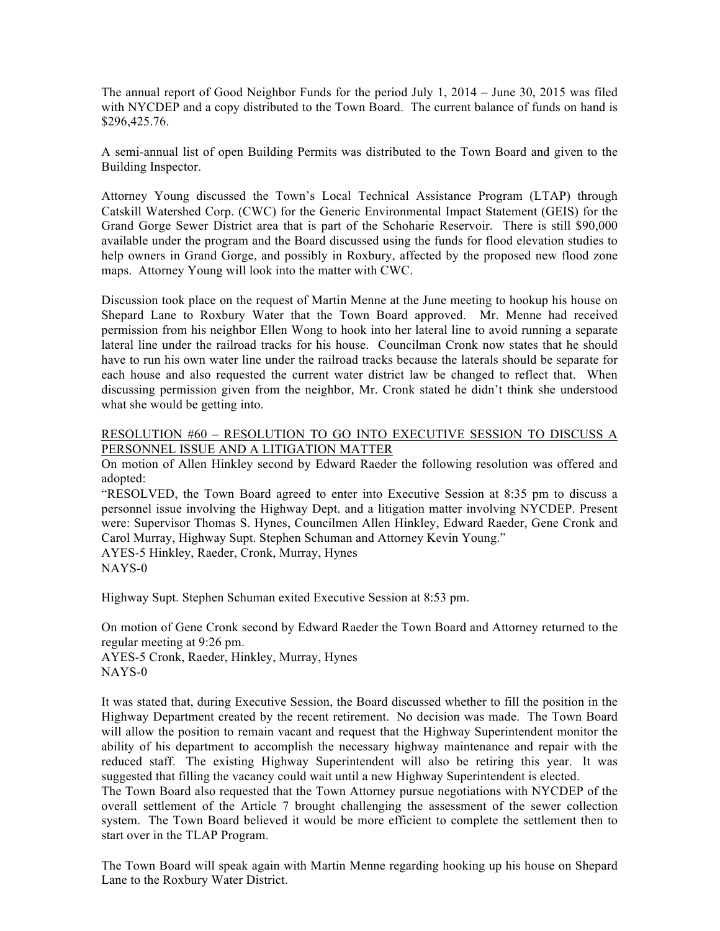The annual report of Good Neighbor Funds for the period July 1, 2014 – June 30, 2015 was filed with NYCDEP and a copy distributed to the Town Board. The current balance of funds on hand is \$296,425.76.

A semi-annual list of open Building Permits was distributed to the Town Board and given to the Building Inspector.

Attorney Young discussed the Town's Local Technical Assistance Program (LTAP) through Catskill Watershed Corp. (CWC) for the Generic Environmental Impact Statement (GEIS) for the Grand Gorge Sewer District area that is part of the Schoharie Reservoir. There is still \$90,000 available under the program and the Board discussed using the funds for flood elevation studies to help owners in Grand Gorge, and possibly in Roxbury, affected by the proposed new flood zone maps. Attorney Young will look into the matter with CWC.

Discussion took place on the request of Martin Menne at the June meeting to hookup his house on Shepard Lane to Roxbury Water that the Town Board approved. Mr. Menne had received permission from his neighbor Ellen Wong to hook into her lateral line to avoid running a separate lateral line under the railroad tracks for his house. Councilman Cronk now states that he should have to run his own water line under the railroad tracks because the laterals should be separate for each house and also requested the current water district law be changed to reflect that. When discussing permission given from the neighbor, Mr. Cronk stated he didn't think she understood what she would be getting into.

# RESOLUTION #60 – RESOLUTION TO GO INTO EXECUTIVE SESSION TO DISCUSS A PERSONNEL ISSUE AND A LITIGATION MATTER

On motion of Allen Hinkley second by Edward Raeder the following resolution was offered and adopted:

"RESOLVED, the Town Board agreed to enter into Executive Session at 8:35 pm to discuss a personnel issue involving the Highway Dept. and a litigation matter involving NYCDEP. Present were: Supervisor Thomas S. Hynes, Councilmen Allen Hinkley, Edward Raeder, Gene Cronk and Carol Murray, Highway Supt. Stephen Schuman and Attorney Kevin Young."

AYES-5 Hinkley, Raeder, Cronk, Murray, Hynes NAYS-0

Highway Supt. Stephen Schuman exited Executive Session at 8:53 pm.

On motion of Gene Cronk second by Edward Raeder the Town Board and Attorney returned to the regular meeting at 9:26 pm.

AYES-5 Cronk, Raeder, Hinkley, Murray, Hynes NAYS-0

It was stated that, during Executive Session, the Board discussed whether to fill the position in the Highway Department created by the recent retirement. No decision was made. The Town Board will allow the position to remain vacant and request that the Highway Superintendent monitor the ability of his department to accomplish the necessary highway maintenance and repair with the reduced staff. The existing Highway Superintendent will also be retiring this year. It was suggested that filling the vacancy could wait until a new Highway Superintendent is elected.

The Town Board also requested that the Town Attorney pursue negotiations with NYCDEP of the overall settlement of the Article 7 brought challenging the assessment of the sewer collection system. The Town Board believed it would be more efficient to complete the settlement then to start over in the TLAP Program.

The Town Board will speak again with Martin Menne regarding hooking up his house on Shepard Lane to the Roxbury Water District.